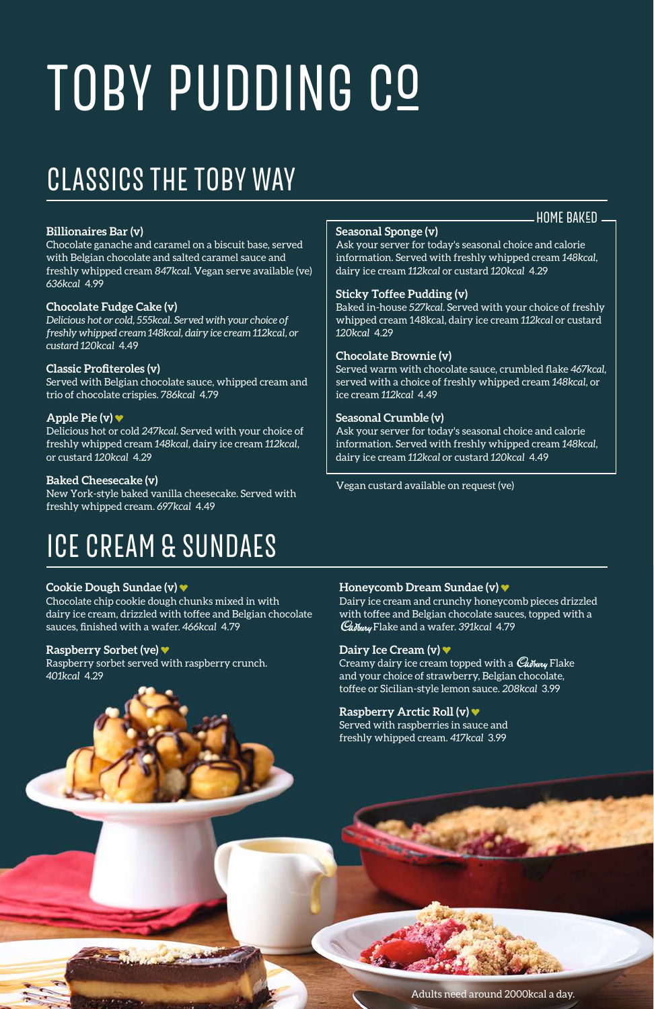# TOBY PUDDING CO

## CLASSICS THE TOBY WAY

#### **Billionaires Bar (v)**

Chocolate ganache and caramel on a biscuit base, served with Belgian chocolate and salted caramel sauce and freshly whipped cream *847kcal*. Vegan serve available (ve) *636kcal* 4.99

#### **Chocolate Fudge Cake (v)**

*Delicious hot or cold, 555kcal. Served with your choice of freshly whipped cream 148kcal, dairy ice cream 112kcal, or custard 120kcal* 4.49

#### **Classic Profiteroles (v)**

Served with Belgian chocolate sauce, whipped cream and trio of chocolate crispies. *786kcal* 4.79

#### **Apple Pie (v)**

Delicious hot or cold *247kcal*. Served with your choice of freshly whipped cream *148kcal,* dairy ice cream *112kcal*, or custard *120kcal* 4.29

#### **Baked Cheesecake (v)**

New York-style baked vanilla cheesecake. Served with freshly whipped cream. *697kcal* 4.49

### ICE CREAM & SUNDAES

#### **Cookie Dough Sundae (v)**

Chocolate chip cookie dough chunks mixed in with dairy ice cream, drizzled with toffee and Belgian chocolate sauces, finished with a wafer. *466kcal* 4.79

#### **Raspberry Sorbet (ve)**

Raspberry sorbet served with raspberry crunch. *401kcal* 4.29

#### **Seasonal Sponge (v)**

Ask your server for today's seasonal choice and calorie information. Served with freshly whipped cream *148kcal*, dairy ice cream *112kcal* or custard *120kcal* 4.29

**HOME BAKED.** 

#### **Sticky Toffee Pudding (v)**

Baked in-house *527kcal*. Served with your choice of freshly whipped cream 148kcal, dairy ice cream *112kcal* or custard *120kcal* 4.29

#### **Chocolate Brownie (v)**

Served warm with chocolate sauce, crumbled flake *467kcal*, served with a choice of freshly whipped cream *148kcal*, or ice cream *112kcal* 4.49

#### **Seasonal Crumble (v)**

Ask your server for today's seasonal choice and calorie information. Served with freshly whipped cream *148kcal*, dairy ice cream *112kcal* or custard *120kcal* 4.49

Vegan custard available on request (ve)

#### **Honeycomb Dream Sundae (v)**

Dairy ice cream and crunchy honeycomb pieces drizzled with toffee and Belgian chocolate sauces, topped with a Flake and a wafer. *391kcal* 4.79

#### **Dairy Ice Cream (v)**

Creamy dairy ice cream topped with a Cadbury Flake and your choice of strawberry, Belgian chocolate, toffee or Sicilian-style lemon sauce. *208kcal* 3.99

#### **Raspberry Arctic Roll (v)**

Served with raspberries in sauce and freshly whipped cream. *417kcal* 3.99

Adults need around 2000kcal a day.